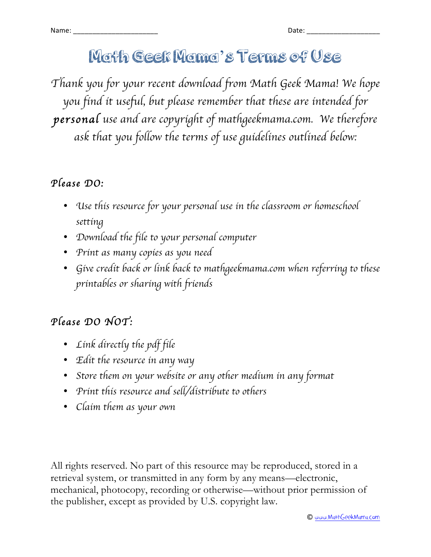# Math Geek Mama's Terms of Use

*Thank you for your recent download from Math Geek Mama! We hope you find it useful, but please remember that these are intended for personal use and are copyright of mathgeekmama.com. We therefore ask that you follow the terms of use guidelines outlined below:*

### *Please DO:*

- *Use this resource for your personal use in the classroom or homeschool setting*
- *Download the file to your personal computer*
- *Print as many copies as you need*
- *Give credit back or link back to mathgeekmama.com when referring to these printables or sharing with friends*

## *Please DO NOT:*

- *Link directly the pdf file*
- *Edit the resource in any way*
- *Store them on your website or any other medium in any format*
- *Print this resource and sell/distribute to others*
- *Claim them as your own*

All rights reserved. No part of this resource may be reproduced, stored in a retrieval system, or transmitted in any form by any means—electronic, mechanical, photocopy, recording or otherwise—without prior permission of the publisher, except as provided by U.S. copyright law.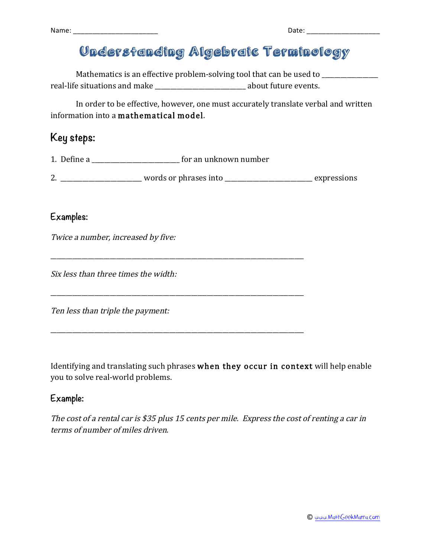Name: \_\_\_\_\_\_\_\_\_\_\_\_\_\_\_\_\_\_\_\_\_\_ Date: \_\_\_\_\_\_\_\_\_\_\_\_\_\_\_\_\_\_\_

| ۰,<br>× |  |
|---------|--|

## Understanding Algebraic Terminology

Mathematics is an effective problem-solving tool that can be used to \_\_\_\_\_\_\_\_\_\_\_\_ real-life situations and make  $\Box$  about future events.

In order to be effective, however, one must accurately translate verbal and written information into a mathematical model.

### **Key steps:**

1. Define a \_\_\_\_\_\_\_\_\_\_\_\_\_\_\_\_\_\_\_\_\_\_\_\_\_\_\_\_ for an unknown number

\_\_\_\_\_\_\_\_\_\_\_\_\_\_\_\_\_\_\_\_\_\_\_\_\_\_\_\_\_\_\_\_\_\_\_\_\_\_\_\_\_\_\_\_\_\_\_\_\_\_\_\_\_\_\_\_\_\_\_\_\_\_\_\_\_\_\_\_\_\_\_\_\_\_\_\_\_\_\_\_\_

\_\_\_\_\_\_\_\_\_\_\_\_\_\_\_\_\_\_\_\_\_\_\_\_\_\_\_\_\_\_\_\_\_\_\_\_\_\_\_\_\_\_\_\_\_\_\_\_\_\_\_\_\_\_\_\_\_\_\_\_\_\_\_\_\_\_\_\_\_\_\_\_\_\_\_\_\_\_\_\_\_

| -<br>words or phrases into<br>expressions<br>- |
|------------------------------------------------|
|------------------------------------------------|

#### **Examples:**

Twice a number, increased by five:

Six less than three times the width:

Ten less than triple the payment:

Identifying and translating such phrases when they occur in context will help enable you to solve real-world problems.

#### **Example:**

The cost of a rental car is \$35 plus 15 cents per mile. Express the cost of renting a car in terms of number of miles driven.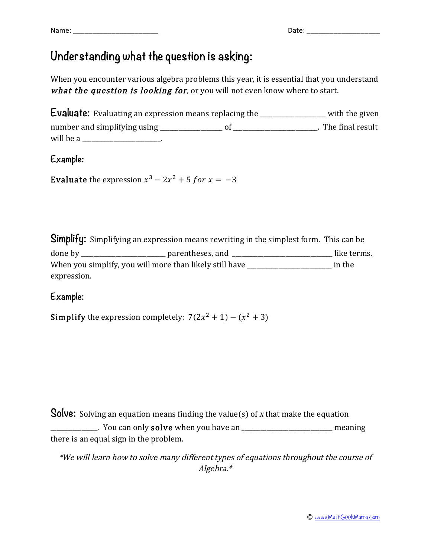### **Understanding what the question is asking:**

When you encounter various algebra problems this year, it is essential that you understand what the question is looking for, or you will not even know where to start.

**Evaluate:** Evaluating an expression means replacing the \_\_\_\_\_\_\_\_\_\_\_\_\_\_\_\_\_\_\_\_\_ with the given number and simplifying using \_\_\_\_\_\_\_\_\_\_\_\_\_\_\_\_\_\_\_\_ of \_\_\_\_\_\_\_\_\_\_\_\_\_\_\_\_\_\_\_\_\_\_\_\_\_\_\_. The final result will be a will be a series of the series of the series of the series of the series of the series of the series of the series of the series of the series of the series of the series of the series of the series of the series

**Example:**

Evaluate the expression  $x^3 - 2x^2 + 5$  for  $x = -3$ 

**Simplify:** Simplifying an expression means rewriting in the simplest form. This can be done by \_\_\_\_\_\_\_\_\_\_\_\_\_\_\_\_\_\_\_\_\_\_\_\_\_\_\_ parentheses, and \_\_\_\_\_\_\_\_\_\_\_\_\_\_\_\_\_\_\_\_\_\_\_\_\_\_\_\_\_\_\_\_ like terms. When you simplify, you will more than likely still have \_\_\_\_\_\_\_\_\_\_\_\_\_\_\_\_\_\_\_\_\_\_\_\_\_\_\_ in the expression.

**Example:**

**Simplify** the expression completely:  $7(2x^2 + 1) - (x^2 + 3)$ 

**Solve:** Solving an equation means finding the value(s) of x that make the equation

\_\_\_\_\_\_\_\_\_\_\_\_\_\_\_. You can only solve when you have an \_\_\_\_\_\_\_\_\_\_\_\_\_\_\_\_\_\_\_\_\_\_\_\_\_\_\_\_\_ meaning there is an equal sign in the problem.

\*We will learn how to solve many different types of equations throughout the course of Algebra.\*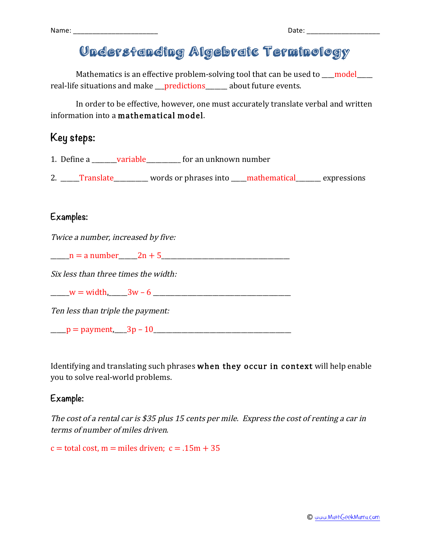Name:  $\Box$ 

| ł<br>×<br>. .<br>×<br>۰, |  |
|--------------------------|--|
|                          |  |

## Understanding Algebraic Terminology

Mathematics is an effective problem-solving tool that can be used to  $\qquad$  model real-life situations and make \_\_\_predictions\_\_\_\_\_\_\_ about future events.

In order to be effective, however, one must accurately translate verbal and written information into a mathematical model.

### **Key steps:**

1. Define a \_\_\_\_\_\_\_\_variable\_\_\_\_\_\_\_\_\_\_\_ for an unknown number

2. \_\_\_\_\_Translate\_\_\_\_\_\_\_\_\_ words or phrases into \_\_\_\_mathematical\_\_\_\_\_\_ expressions

#### **Examples:**

Twice a number, increased by five:

 $n =$  a number  $2n + 5$ 

Six less than three times the width:

 $w = \text{width}, \qquad 3w - 6$ 

Ten less than triple the payment:

 $p =$  payment,  $3p - 10$ 

Identifying and translating such phrases when they occur in context will help enable you to solve real-world problems.

#### **Example:**

The cost of a rental car is \$35 plus 15 cents per mile. Express the cost of renting a car in terms of number of miles driven.

 $c =$  total cost,  $m =$  miles driven;  $c = .15m + 35$